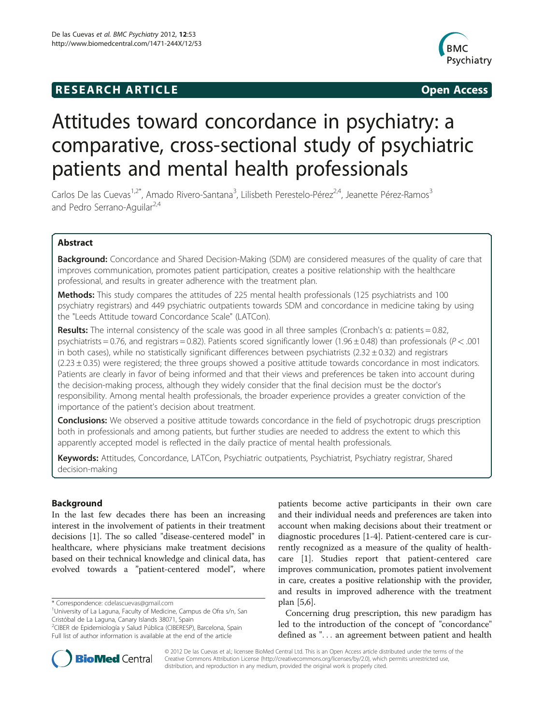# **RESEARCH ARTICLE Example 2014 The SEAR CH ACCESS**



# Attitudes toward concordance in psychiatry: a comparative, cross-sectional study of psychiatric patients and mental health professionals

Carlos De las Cuevas<sup>1,2\*</sup>, Amado Rivero-Santana<sup>3</sup>, Lilisbeth Perestelo-Pérez<sup>2,4</sup>, Jeanette Pérez-Ramos<sup>3</sup> and Pedro Serrano-Aguilar<sup>2,4</sup>

# Abstract

Background: Concordance and Shared Decision-Making (SDM) are considered measures of the quality of care that improves communication, promotes patient participation, creates a positive relationship with the healthcare professional, and results in greater adherence with the treatment plan.

Methods: This study compares the attitudes of 225 mental health professionals (125 psychiatrists and 100 psychiatry registrars) and 449 psychiatric outpatients towards SDM and concordance in medicine taking by using the "Leeds Attitude toward Concordance Scale" (LATCon).

Results: The internal consistency of the scale was good in all three samples (Cronbach's α: patients = 0.82, psychiatrists = 0.76, and registrars = 0.82). Patients scored significantly lower (1.96  $\pm$  0.48) than professionals ( $P <$  .001 in both cases), while no statistically significant differences between psychiatrists ( $2.32 \pm 0.32$ ) and registrars  $(2.23 \pm 0.35)$  were registered; the three groups showed a positive attitude towards concordance in most indicators. Patients are clearly in favor of being informed and that their views and preferences be taken into account during the decision-making process, although they widely consider that the final decision must be the doctor's responsibility. Among mental health professionals, the broader experience provides a greater conviction of the importance of the patient's decision about treatment.

**Conclusions:** We observed a positive attitude towards concordance in the field of psychotropic drugs prescription both in professionals and among patients, but further studies are needed to address the extent to which this apparently accepted model is reflected in the daily practice of mental health professionals.

Keywords: Attitudes, Concordance, LATCon, Psychiatric outpatients, Psychiatrist, Psychiatry registrar, Shared decision-making

# Background

In the last few decades there has been an increasing interest in the involvement of patients in their treatment decisions [\[1](#page-5-0)]. The so called "disease-centered model" in healthcare, where physicians make treatment decisions based on their technical knowledge and clinical data, has evolved towards a "patient-centered model", where

\* Correspondence: [cdelascuevas@gmail.com](mailto:cdelascuevas@gmail.com) <sup>1</sup>

2 CIBER de Epidemiología y Salud Pública (CIBERESP), Barcelona, Spain Full list of author information is available at the end of the article

patients become active participants in their own care and their individual needs and preferences are taken into account when making decisions about their treatment or diagnostic procedures [[1-4\]](#page-5-0). Patient-centered care is currently recognized as a measure of the quality of healthcare [[1\]](#page-5-0). Studies report that patient-centered care improves communication, promotes patient involvement in care, creates a positive relationship with the provider, and results in improved adherence with the treatment plan [\[5,6](#page-5-0)].

Concerning drug prescription, this new paradigm has led to the introduction of the concept of "concordance" defined as "... an agreement between patient and health



© 2012 De las Cuevas et al.; licensee BioMed Central Ltd. This is an Open Access article distributed under the terms of the Creative Commons Attribution License (<http://creativecommons.org/licenses/by/2.0>), which permits unrestricted use, distribution, and reproduction in any medium, provided the original work is properly cited.

<sup>&</sup>lt;sup>1</sup>University of La Laguna, Faculty of Medicine, Campus de Ofra s/n, San Cristóbal de La Laguna, Canary Islands 38071, Spain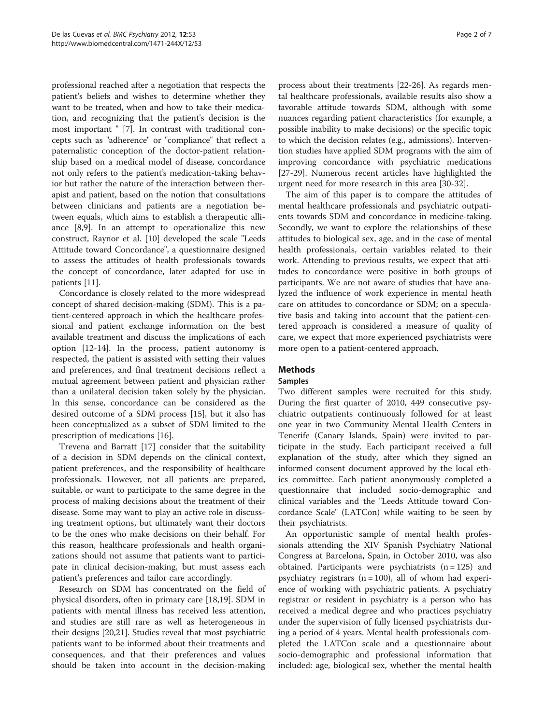professional reached after a negotiation that respects the patient's beliefs and wishes to determine whether they want to be treated, when and how to take their medication, and recognizing that the patient's decision is the most important " [[7](#page-5-0)]. In contrast with traditional concepts such as "adherence" or "compliance" that reflect a paternalistic conception of the doctor-patient relationship based on a medical model of disease, concordance not only refers to the patient's medication-taking behavior but rather the nature of the interaction between therapist and patient, based on the notion that consultations between clinicians and patients are a negotiation between equals, which aims to establish a therapeutic alliance [\[8,9](#page-5-0)]. In an attempt to operationalize this new construct, Raynor et al. [\[10\]](#page-5-0) developed the scale "Leeds Attitude toward Concordance", a questionnaire designed to assess the attitudes of health professionals towards the concept of concordance, later adapted for use in patients [\[11\]](#page-5-0).

Concordance is closely related to the more widespread concept of shared decision-making (SDM). This is a patient-centered approach in which the healthcare professional and patient exchange information on the best available treatment and discuss the implications of each option [[12-14](#page-5-0)]. In the process, patient autonomy is respected, the patient is assisted with setting their values and preferences, and final treatment decisions reflect a mutual agreement between patient and physician rather than a unilateral decision taken solely by the physician. In this sense, concordance can be considered as the desired outcome of a SDM process [[15](#page-5-0)], but it also has been conceptualized as a subset of SDM limited to the prescription of medications [\[16\]](#page-5-0).

Trevena and Barratt [\[17](#page-5-0)] consider that the suitability of a decision in SDM depends on the clinical context, patient preferences, and the responsibility of healthcare professionals. However, not all patients are prepared, suitable, or want to participate to the same degree in the process of making decisions about the treatment of their disease. Some may want to play an active role in discussing treatment options, but ultimately want their doctors to be the ones who make decisions on their behalf. For this reason, healthcare professionals and health organizations should not assume that patients want to participate in clinical decision-making, but must assess each patient's preferences and tailor care accordingly.

Research on SDM has concentrated on the field of physical disorders, often in primary care [\[18,19\]](#page-5-0). SDM in patients with mental illness has received less attention, and studies are still rare as well as heterogeneous in their designs [[20,21\]](#page-5-0). Studies reveal that most psychiatric patients want to be informed about their treatments and consequences, and that their preferences and values should be taken into account in the decision-making

process about their treatments [[22-](#page-5-0)[26\]](#page-6-0). As regards mental healthcare professionals, available results also show a favorable attitude towards SDM, although with some nuances regarding patient characteristics (for example, a possible inability to make decisions) or the specific topic to which the decision relates (e.g., admissions). Intervention studies have applied SDM programs with the aim of improving concordance with psychiatric medications [[27-29](#page-6-0)]. Numerous recent articles have highlighted the urgent need for more research in this area [\[30](#page-6-0)-[32\]](#page-6-0).

The aim of this paper is to compare the attitudes of mental healthcare professionals and psychiatric outpatients towards SDM and concordance in medicine-taking. Secondly, we want to explore the relationships of these attitudes to biological sex, age, and in the case of mental health professionals, certain variables related to their work. Attending to previous results, we expect that attitudes to concordance were positive in both groups of participants. We are not aware of studies that have analyzed the influence of work experience in mental heath care on attitudes to concordance or SDM; on a speculative basis and taking into account that the patient-centered approach is considered a measure of quality of care, we expect that more experienced psychiatrists were more open to a patient-centered approach.

# **Methods**

#### Samples

Two different samples were recruited for this study. During the first quarter of 2010, 449 consecutive psychiatric outpatients continuously followed for at least one year in two Community Mental Health Centers in Tenerife (Canary Islands, Spain) were invited to participate in the study. Each participant received a full explanation of the study, after which they signed an informed consent document approved by the local ethics committee. Each patient anonymously completed a questionnaire that included socio-demographic and clinical variables and the "Leeds Attitude toward Concordance Scale" (LATCon) while waiting to be seen by their psychiatrists.

An opportunistic sample of mental health professionals attending the XIV Spanish Psychiatry National Congress at Barcelona, Spain, in October 2010, was also obtained. Participants were psychiatrists  $(n = 125)$  and psychiatry registrars  $(n = 100)$ , all of whom had experience of working with psychiatric patients. A psychiatry registrar or resident in psychiatry is a person who has received a medical degree and who practices psychiatry under the supervision of fully licensed psychiatrists during a period of 4 years. Mental health professionals completed the LATCon scale and a questionnaire about socio-demographic and professional information that included: age, biological sex, whether the mental health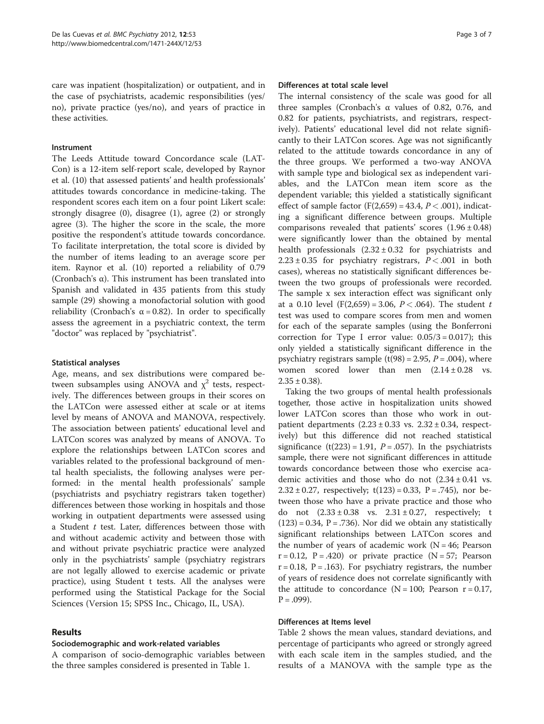care was inpatient (hospitalization) or outpatient, and in the case of psychiatrists, academic responsibilities (yes/ no), private practice (yes/no), and years of practice in these activities.

#### Instrument

The Leeds Attitude toward Concordance scale (LAT-Con) is a 12-item self-report scale, developed by Raynor et al. (10) that assessed patients' and health professionals' attitudes towards concordance in medicine-taking. The respondent scores each item on a four point Likert scale: strongly disagree  $(0)$ , disagree  $(1)$ , agree  $(2)$  or strongly agree (3). The higher the score in the scale, the more positive the respondent's attitude towards concordance. To facilitate interpretation, the total score is divided by the number of items leading to an average score per item. Raynor et al. (10) reported a reliability of 0.79 (Cronbach's  $\alpha$ ). This instrument has been translated into Spanish and validated in 435 patients from this study sample (29) showing a monofactorial solution with good reliability (Cronbach's  $\alpha$  = 0.82). In order to specifically assess the agreement in a psychiatric context, the term "doctor" was replaced by "psychiatrist".

#### Statistical analyses

Age, means, and sex distributions were compared between subsamples using ANOVA and  $\chi^2$  tests, respectively. The differences between groups in their scores on the LATCon were assessed either at scale or at items level by means of ANOVA and MANOVA, respectively. The association between patients' educational level and LATCon scores was analyzed by means of ANOVA. To explore the relationships between LATCon scores and variables related to the professional background of mental health specialists, the following analyses were performed: in the mental health professionals' sample (psychiatrists and psychiatry registrars taken together) differences between those working in hospitals and those working in outpatient departments were assessed using a Student  $t$  test. Later, differences between those with and without academic activity and between those with and without private psychiatric practice were analyzed only in the psychiatrists' sample (psychiatry registrars are not legally allowed to exercise academic or private practice), using Student t tests. All the analyses were performed using the Statistical Package for the Social Sciences (Version 15; SPSS Inc., Chicago, IL, USA).

# Results

# Sociodemographic and work-related variables

A comparison of socio-demographic variables between the three samples considered is presented in Table [1.](#page-3-0)

#### Differences at total scale level

The internal consistency of the scale was good for all three samples (Cronbach's α values of 0.82, 0.76, and 0.82 for patients, psychiatrists, and registrars, respectively). Patients' educational level did not relate significantly to their LATCon scores. Age was not significantly related to the attitude towards concordance in any of the three groups. We performed a two-way ANOVA with sample type and biological sex as independent variables, and the LATCon mean item score as the dependent variable; this yielded a statistically significant effect of sample factor  $(F(2,659) = 43.4, P < .001)$ , indicating a significant difference between groups. Multiple comparisons revealed that patients' scores  $(1.96 \pm 0.48)$ were significantly lower than the obtained by mental health professionals  $(2.32 \pm 0.32)$  for psychiatrists and  $2.23 \pm 0.35$  for psychiatry registrars,  $P < .001$  in both cases), whereas no statistically significant differences between the two groups of professionals were recorded. The sample x sex interaction effect was significant only at a 0.10 level  $(F(2,659) = 3.06, P < .064)$ . The student t test was used to compare scores from men and women for each of the separate samples (using the Bonferroni correction for Type I error value:  $0.05/3 = 0.017$ ; this only yielded a statistically significant difference in the psychiatry registrars sample  $(t(98) = 2.95, P = .004)$ , where women scored lower than men  $(2.14 \pm 0.28$  vs.  $2.35 \pm 0.38$ ).

Taking the two groups of mental health professionals together, those active in hospitalization units showed lower LATCon scores than those who work in outpatient departments  $(2.23 \pm 0.33 \text{ vs. } 2.32 \pm 0.34 \text{, respectively.}$ ively) but this difference did not reached statistical significance (t(223) = 1.91,  $P = .057$ ). In the psychiatrists sample, there were not significant differences in attitude towards concordance between those who exercise academic activities and those who do not  $(2.34 \pm 0.41 \text{ vs.})$  $2.32 \pm 0.27$ , respectively; t(123) = 0.33, P = .745), nor between those who have a private practice and those who do not  $(2.33 \pm 0.38 \text{ vs. } 2.31 \pm 0.27, \text{ respectively}; \text{ t}$  $(123) = 0.34$ , P = .736). Nor did we obtain any statistically significant relationships between LATCon scores and the number of years of academic work  $(N = 46;$  Pearson  $r = 0.12$ ,  $P = .420$ ) or private practice (N = 57; Pearson  $r = 0.18$ ,  $P = .163$ ). For psychiatry registrars, the number of years of residence does not correlate significantly with the attitude to concordance ( $N = 100$ ; Pearson  $r = 0.17$ ,  $P = .099$ ).

#### Differences at Items level

Table [2](#page-3-0) shows the mean values, standard deviations, and percentage of participants who agreed or strongly agreed with each scale item in the samples studied, and the results of a MANOVA with the sample type as the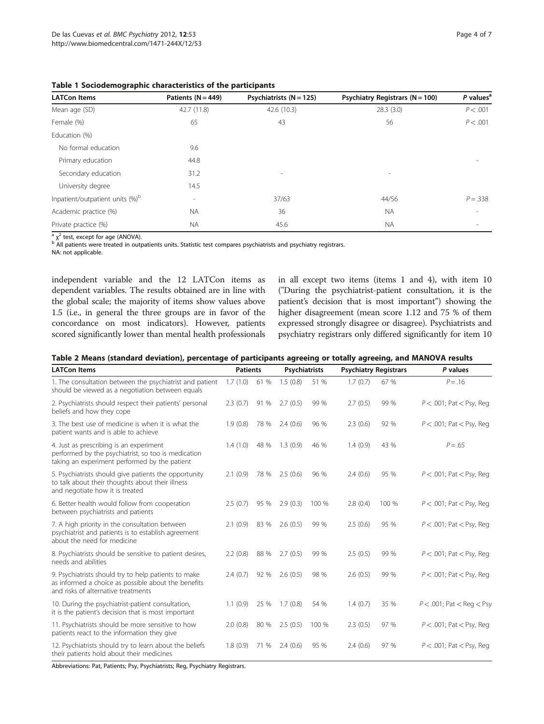| <b>LATCon Items</b>                         | Patients $(N = 449)$     | Psychiatrists $(N = 125)$ | Psychiatry Registrars ( $N = 100$ ) | P values <sup>a</sup>    |  |
|---------------------------------------------|--------------------------|---------------------------|-------------------------------------|--------------------------|--|
| Mean age (SD)                               | 42.7 (11.8)              | 42.6 (10.3)               | 28.3(3.0)                           | P < .001                 |  |
| Female (%)                                  | 65                       | 43                        | 56                                  | P < .001                 |  |
| Education (%)                               |                          |                           |                                     |                          |  |
| No formal education                         | 9.6                      |                           |                                     |                          |  |
| Primary education                           | 44.8                     |                           |                                     |                          |  |
| Secondary education                         | 31.2                     | $\overline{\phantom{a}}$  | $\overline{\phantom{a}}$            |                          |  |
| University degree                           | 14.5                     |                           |                                     |                          |  |
| Inpatient/outpatient units (%) <sup>b</sup> | $\overline{\phantom{a}}$ | 37/63                     | 44/56                               | $P = 0.338$              |  |
| Academic practice (%)                       | NA.                      | 36                        | <b>NA</b>                           | ۰                        |  |
| Private practice (%)                        | <b>NA</b>                | 45.6                      | <b>NA</b>                           | $\overline{\phantom{a}}$ |  |

<span id="page-3-0"></span>

 $\frac{a}{\alpha} \chi^2$  test, except for age (ANOVA).<br>
b All patients were treated in outpatients units. Statistic test compares psychiatrists and psychiatry registrars.

NA: not applicable.

independent variable and the 12 LATCon items as dependent variables. The results obtained are in line with the global scale; the majority of items show values above 1.5 (i.e., in general the three groups are in favor of the concordance on most indicators). However, patients scored significantly lower than mental health professionals in all except two items (items 1 and 4), with item 10 ("During the psychiatrist-patient consultation, it is the patient's decision that is most important") showing the higher disagreement (mean score 1.12 and 75 % of them expressed strongly disagree or disagree). Psychiatrists and psychiatry registrars only differed significantly for item 10

#### Table 2 Means (standard deviation), percentage of participants agreeing or totally agreeing, and MANOVA results

| <b>LATCon Items</b>                                                                                                                                | <b>Patients</b> |      | Psychiatrists |       | <b>Psychiatry Registrars</b> |       | P values                         |  |
|----------------------------------------------------------------------------------------------------------------------------------------------------|-----------------|------|---------------|-------|------------------------------|-------|----------------------------------|--|
| 1. The consultation between the psychiatrist and patient<br>should be viewed as a negotiation between equals                                       | 1.7(1.0)        | 61 % | 1.5(0.8)      | 51 %  | 1.7(0.7)                     | 67 %  | $P = 0.16$                       |  |
| 2. Psychiatrists should respect their patients' personal<br>beliefs and how they cope                                                              | 2.3(0.7)        | 91 % | 2.7(0.5)      | 99 %  | 2.7(0.5)                     | 99 %  | $P < .001$ ; Pat $<$ Psy, Reg    |  |
| 3. The best use of medicine is when it is what the<br>patient wants and is able to achieve                                                         | 1.9(0.8)        | 78 % | 2.4(0.6)      | 96 %  | 2.3(0.6)                     | 92 %  | $P < .001$ ; Pat $<$ Psy, Reg    |  |
| 4. Just as prescribing is an experiment<br>performed by the psychiatrist, so too is medication<br>taking an experiment performed by the patient    | 1.4(1.0)        | 48 % | 1.3(0.9)      | 46 %  | 1.4(0.9)                     | 43 %  | $P = .65$                        |  |
| 5. Psychiatrists should give patients the opportunity<br>to talk about their thoughts about their illness<br>and negotiate how it is treated       | 2.1(0.9)        | 78 % | 2.5(0.6)      | 96 %  | 2.4(0.6)                     | 95 %  | $P < .001$ ; Pat $<$ Psy, Reg    |  |
| 6. Better health would follow from cooperation<br>between psychiatrists and patients                                                               | 2.5(0.7)        | 95 % | 2.9(0.3)      | 100 % | 2.8(0.4)                     | 100 % | $P < .001$ ; Pat $<$ Psy, Reg    |  |
| 7. A high priority in the consultation between<br>psychiatrist and patients is to establish agreement<br>about the need for medicine               | 2.1(0.9)        | 83 % | 2.6(0.5)      | 99 %  | 2.5(0.6)                     | 95 %  | $P < .001$ ; Pat $<$ Psy, Reg    |  |
| 8. Psychiatrists should be sensitive to patient desires,<br>needs and abilities                                                                    | 2.2(0.8)        | 88 % | 2.7(0.5)      | 99 %  | 2.5(0.5)                     | 99 %  | $P < .001$ ; Pat $<$ Psy, Reg    |  |
| 9. Psychiatrists should try to help patients to make<br>as informed a choice as possible about the benefits<br>and risks of alternative treatments | 2.4(0.7)        | 92 % | 2.6(0.5)      | 98 %  | 2.6(0.5)                     | 99 %  | $P < .001$ ; Pat $<$ Psy, Reg    |  |
| 10. During the psychiatrist-patient consultation,<br>it is the patient's decision that is most important                                           | 1.1(0.9)        | 25 % | 1.7(0.8)      | 54 %  | 1.4(0.7)                     | 35 %  | $P < .001$ ; Pat $<$ Reg $<$ Psy |  |
| 11. Psychiatrists should be more sensitive to how<br>patients react to the information they give                                                   | 2.0(0.8)        | 80 % | 2.5(0.5)      | 100 % | 2.3(0.5)                     | 97 %  | $P < .001$ ; Pat $<$ Psy, Reg    |  |
| 12. Psychiatrists should try to learn about the beliefs<br>their patients hold about their medicines                                               | 1.8(0.9)        | 71 % | 2.4(0.6)      | 95 %  | 2.4(0.6)                     | 97 %  | $P < .001$ ; Pat $<$ Psy, Reg    |  |

Abbreviations: Pat, Patients; Psy, Psychiatrists; Reg, Psychiatry Registrars.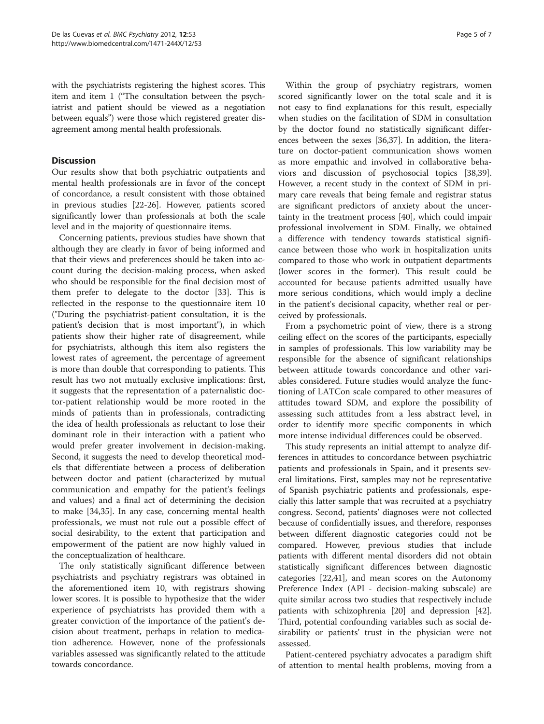with the psychiatrists registering the highest scores. This item and item 1 ("The consultation between the psychiatrist and patient should be viewed as a negotiation between equals") were those which registered greater disagreement among mental health professionals.

# **Discussion**

Our results show that both psychiatric outpatients and mental health professionals are in favor of the concept of concordance, a result consistent with those obtained in previous studies [[22](#page-5-0)[-26](#page-6-0)]. However, patients scored significantly lower than professionals at both the scale level and in the majority of questionnaire items.

Concerning patients, previous studies have shown that although they are clearly in favor of being informed and that their views and preferences should be taken into account during the decision-making process, when asked who should be responsible for the final decision most of them prefer to delegate to the doctor [\[33](#page-6-0)]. This is reflected in the response to the questionnaire item 10 ("During the psychiatrist-patient consultation, it is the patient's decision that is most important"), in which patients show their higher rate of disagreement, while for psychiatrists, although this item also registers the lowest rates of agreement, the percentage of agreement is more than double that corresponding to patients. This result has two not mutually exclusive implications: first, it suggests that the representation of a paternalistic doctor-patient relationship would be more rooted in the minds of patients than in professionals, contradicting the idea of health professionals as reluctant to lose their dominant role in their interaction with a patient who would prefer greater involvement in decision-making. Second, it suggests the need to develop theoretical models that differentiate between a process of deliberation between doctor and patient (characterized by mutual communication and empathy for the patient's feelings and values) and a final act of determining the decision to make [\[34,35\]](#page-6-0). In any case, concerning mental health professionals, we must not rule out a possible effect of social desirability, to the extent that participation and empowerment of the patient are now highly valued in the conceptualization of healthcare.

The only statistically significant difference between psychiatrists and psychiatry registrars was obtained in the aforementioned item 10, with registrars showing lower scores. It is possible to hypothesize that the wider experience of psychiatrists has provided them with a greater conviction of the importance of the patient's decision about treatment, perhaps in relation to medication adherence. However, none of the professionals variables assessed was significantly related to the attitude towards concordance.

Within the group of psychiatry registrars, women scored significantly lower on the total scale and it is not easy to find explanations for this result, especially when studies on the facilitation of SDM in consultation by the doctor found no statistically significant differences between the sexes [[36,37\]](#page-6-0). In addition, the literature on doctor-patient communication shows women as more empathic and involved in collaborative behaviors and discussion of psychosocial topics [\[38,39](#page-6-0)]. However, a recent study in the context of SDM in primary care reveals that being female and registrar status are significant predictors of anxiety about the uncertainty in the treatment process [\[40](#page-6-0)], which could impair professional involvement in SDM. Finally, we obtained a difference with tendency towards statistical significance between those who work in hospitalization units compared to those who work in outpatient departments (lower scores in the former). This result could be accounted for because patients admitted usually have more serious conditions, which would imply a decline in the patient's decisional capacity, whether real or perceived by professionals.

From a psychometric point of view, there is a strong ceiling effect on the scores of the participants, especially in samples of professionals. This low variability may be responsible for the absence of significant relationships between attitude towards concordance and other variables considered. Future studies would analyze the functioning of LATCon scale compared to other measures of attitudes toward SDM, and explore the possibility of assessing such attitudes from a less abstract level, in order to identify more specific components in which more intense individual differences could be observed.

This study represents an initial attempt to analyze differences in attitudes to concordance between psychiatric patients and professionals in Spain, and it presents several limitations. First, samples may not be representative of Spanish psychiatric patients and professionals, especially this latter sample that was recruited at a psychiatry congress. Second, patients' diagnoses were not collected because of confidentially issues, and therefore, responses between different diagnostic categories could not be compared. However, previous studies that include patients with different mental disorders did not obtain statistically significant differences between diagnostic categories [\[22](#page-5-0)[,41\]](#page-6-0), and mean scores on the Autonomy Preference Index (API - decision-making subscale) are quite similar across two studies that respectively include patients with schizophrenia [[20](#page-5-0)] and depression [\[42](#page-6-0)]. Third, potential confounding variables such as social desirability or patients' trust in the physician were not assessed.

Patient-centered psychiatry advocates a paradigm shift of attention to mental health problems, moving from a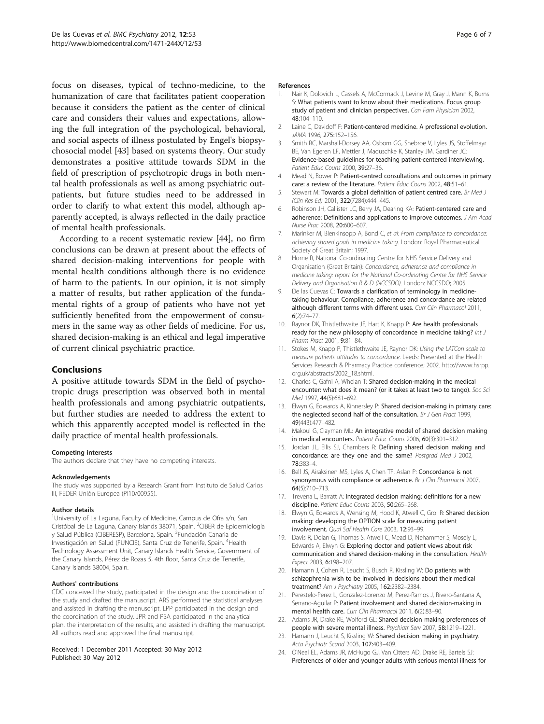<span id="page-5-0"></span>focus on diseases, typical of techno-medicine, to the humanization of care that facilitates patient cooperation because it considers the patient as the center of clinical care and considers their values and expectations, allowing the full integration of the psychological, behavioral, and social aspects of illness postulated by Engel's biopsychosocial model [[43\]](#page-6-0) based on systems theory. Our study demonstrates a positive attitude towards SDM in the field of prescription of psychotropic drugs in both mental health professionals as well as among psychiatric outpatients, but future studies need to be addressed in order to clarify to what extent this model, although apparently accepted, is always reflected in the daily practice of mental health professionals.

According to a recent systematic review [\[44\]](#page-6-0), no firm conclusions can be drawn at present about the effects of shared decision-making interventions for people with mental health conditions although there is no evidence of harm to the patients. In our opinion, it is not simply a matter of results, but rather application of the fundamental rights of a group of patients who have not yet sufficiently benefited from the empowerment of consumers in the same way as other fields of medicine. For us, shared decision-making is an ethical and legal imperative of current clinical psychiatric practice.

#### Conclusions

A positive attitude towards SDM in the field of psychotropic drugs prescription was observed both in mental health professionals and among psychiatric outpatients, but further studies are needed to address the extent to which this apparently accepted model is reflected in the daily practice of mental health professionals.

#### Competing interests

The authors declare that they have no competing interests.

#### Acknowledgements

The study was supported by a Research Grant from Instituto de Salud Carlos III, FEDER Unión Europea (PI10/00955).

#### Author details

<sup>1</sup>University of La Laguna, Faculty of Medicine, Campus de Ofra s/n, San Cristóbal de La Laguna, Canary Islands 38071, Spain. <sup>2</sup>CIBER de Epidemiología y Salud Pública (CIBERESP), Barcelona, Spain. <sup>3</sup>Fundación Canaria de Investigación en Salud (FUNCIS), Santa Cruz de Tenerife, Spain. <sup>4</sup>Health Technology Assessment Unit, Canary Islands Health Service, Government of the Canary Islands, Pérez de Rozas 5, 4th floor, Santa Cruz de Tenerife, Canary Islands 38004, Spain.

#### Authors' contributions

CDC conceived the study, participated in the design and the coordination of the study and drafted the manuscript. ARS performed the statistical analyses and assisted in drafting the manuscript. LPP participated in the design and the coordination of the study. JPR and PSA participated in the analytical plan, the interpretation of the results, and assisted in drafting the manuscript. All authors read and approved the final manuscript.

#### Received: 1 December 2011 Accepted: 30 May 2012 Published: 30 May 2012

#### References

- Nair K, Dolovich L, Cassels A, McCormack J, Levine M, Gray J, Mann K, Burns S: What patients want to know about their medications. Focus group study of patient and clinician perspectives. Can Fam Physician 2002, 48:104–110.
- 2. Laine C, Davidoff F: Patient-centered medicine. A professional evolution. JAMA 1996, 275:152–156.
- 3. Smith RC, Marshall-Dorsey AA, Osborn GG, Shebroe V, Lyles JS, Stoffelmayr BE, Van Egeren LF, Mettler J, Maduschke K, Stanley JM, Gardiner JC: Evidence-based guidelines for teaching patient-centered interviewing. Patient Educ Couns 2000, 39:27–36.
- 4. Mead N, Bower P: Patient-centred consultations and outcomes in primary care: a review of the literature. Patient Educ Couns 2002. 48:51-61.
- 5. Stewart M: Towards a global definition of patient centred care. Br Med J (Clin Res Ed) 2001, 322(7284):444–445.
- 6. Robinson JH, Callister LC, Berry JA, Dearing KA: Patient-centered care and adherence: Definitions and applications to improve outcomes. J Am Acad Nurse Prac 2008, 20:600–607.
- 7. Marinker M, Blenkinsopp A, Bond C, et al: From compliance to concordance: achieving shared goals in medicine taking. London: Royal Pharmaceutical Society of Great Britain; 1997.
- 8. Horne R, National Co-ordinating Centre for NHS Service Delivery and Organisation (Great Britain): Concordance, adherence and compliance in medicine taking: report for the National Co-ordinating Centre for NHS Service Delivery and Organisation R & D (NCCSDO). London: NCCSDO; 2005.
- 9. De las Cuevas C: Towards a clarification of terminology in medicinetaking behaviour: Compliance, adherence and concordance are related although different terms with different uses. Curr Clin Pharmacol 2011, 6(2):74–77.
- 10. Raynor DK, Thistlethwaite JF, Hart K, Knapp P: Are health professionals ready for the new philosophy of concordance in medicine taking? Int J Pharm Pract 2001, 9:81–84.
- 11. Stokes M, Knapp P, Thistlethwaite JE, Raynor DK: Using the LATCon scale to measure patients attitudes to concordance. Leeds: Presented at the Health Services Research & Pharmacy Practice conference; 2002. [http://www.hsrpp.](http://www.hsrpp.org.uk/abstracts/2002_18.shtml) [org.uk/abstracts/2002\\_18.shtml](http://www.hsrpp.org.uk/abstracts/2002_18.shtml).
- 12. Charles C, Gafni A, Whelan T: Shared decision-making in the medical encounter: what does it mean? (or it takes at least two to tango). Soc Sci Med 1997, 44(5):681–692.
- 13. Elwyn G, Edwards A, Kinnersley P: Shared decision-making in primary care: the neglected second half of the consultation. Br J Gen Pract 1999, 49(443):477–482.
- 14. Makoul G, Clayman ML: An integrative model of shared decision making in medical encounters. Patient Educ Couns 2006, 60(3):301–312.
- 15. Jordan JL, Ellis SJ, Chambers R: Defining shared decision making and concordance: are they one and the same? Postgrad Med J 2002, 78:383–4.
- 16. Bell JS, Airaksinen MS, Lyles A, Chen TF, Aslan P: Concordance is not synonymous with compliance or adherence. Br J Clin Pharmacol 2007, 64(5):710–713.
- 17. Trevena L, Barratt A: Integrated decision making: definitions for a new discipline. Patient Educ Couns 2003, 50:265-268.
- 18. Elwyn G, Edwards A, Wensing M, Hood K, Atwell C, Grol R: Shared decision making: developing the OPTION scale for measuring patient involvement. Qual Saf Health Care 2003, 12:93–99.
- 19. Davis R, Dolan G, Thomas S, Atwell C, Mead D, Nehammer S, Mosely L, Edwards A, Elwyn G: Exploring doctor and patient views about risk communication and shared decision-making in the consultation. Health Expect 2003, 6:198–207.
- 20. Hamann J, Cohen R, Leucht S, Busch R, Kissling W: Do patients with schizophrenia wish to be involved in decisions about their medical treatment? Am J Psychiatry 2005, 162:2382–2384.
- 21. Perestelo-Perez L, Gonzalez-Lorenzo M, Perez-Ramos J, Rivero-Santana A, Serrano-Aguilar P: Patient involvement and shared decision-making in mental health care. Curr Clin Pharmacol 2011, 6(2):83-90.
- 22. Adams JR, Drake RE, Wolford GL: Shared decision making preferences of people with severe mental illness. Psychiatr Serv 2007, 58:1219-1221.
- 23. Hamann J, Leucht S, Kissling W: Shared decision making in psychiatry. Acta Psychiatr Scand 2003, 107:403–409.
- 24. O'Neal EL, Adams JR, McHugo GJ, Van Citters AD, Drake RE, Bartels SJ: Preferences of older and younger adults with serious mental illness for